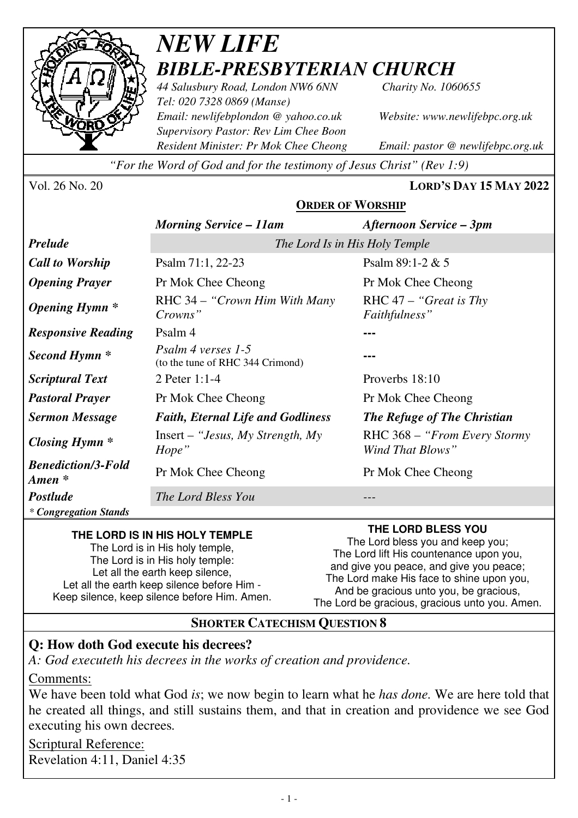

# *NEW LIFE BIBLE-PRESBYTERIAN CHURCH*

*44 Salusbury Road, London NW6 6NN Charity No. 1060655 Tel: 020 7328 0869 (Manse) Email: newlifebplondon @ yahoo.co.uk Website: www.newlifebpc.org.uk Supervisory Pastor: Rev Lim Chee Boon Resident Minister: Pr Mok Chee Cheong Email: pastor @ newlifebpc.org.uk* 

*"For the Word of God and for the testimony of Jesus Christ" (Rev 1:9)*

Vol. 26 No. 20 **LORD'S DAY 15 MAY 2022**

#### **ORDER OF WORSHIP**

|                                                 | <b>Morning Service - 11am</b>                          | <b>Afternoon Service – 3pm</b>                    |
|-------------------------------------------------|--------------------------------------------------------|---------------------------------------------------|
| <b>Prelude</b>                                  | The Lord Is in His Holy Temple                         |                                                   |
| <b>Call to Worship</b>                          | Psalm 71:1, 22-23                                      | Psalm $89:1-2 & 5$                                |
| <b>Opening Prayer</b>                           | Pr Mok Chee Cheong                                     | Pr Mok Chee Cheong                                |
| <i><b>Opening Hymn</b></i> *                    | RHC 34 – "Crown Him With Many"<br>Crowns"              | RHC $47 -$ "Great is Thy"<br>Faithfulness"        |
| <b>Responsive Reading</b>                       | Psalm 4                                                |                                                   |
| Second Hymn <sup>*</sup>                        | Psalm 4 verses 1-5<br>(to the tune of RHC 344 Crimond) |                                                   |
| <i>Scriptural Text</i>                          | 2 Peter $1:1-4$                                        | Proverbs 18:10                                    |
| <b>Pastoral Prayer</b>                          | Pr Mok Chee Cheong                                     | Pr Mok Chee Cheong                                |
| <b>Sermon Message</b>                           | <b>Faith, Eternal Life and Godliness</b>               | The Refuge of The Christian                       |
| Closing Hymn $*$                                | Insert – "Jesus, My Strength, My<br>Hope"              | RHC 368 – "From Every Stormy"<br>Wind That Blows" |
| <b>Benediction/3-Fold</b><br>$A$ <i>men</i> $*$ | Pr Mok Chee Cheong                                     | Pr Mok Chee Cheong                                |
| <b>Postlude</b>                                 | The Lord Bless You                                     |                                                   |
| * Congregation Stands                           |                                                        |                                                   |

#### **THE LORD IS IN HIS HOLY TEMPLE**

The Lord is in His holy temple, The Lord is in His holy temple: Let all the earth keep silence. Let all the earth keep silence before Him - Keep silence, keep silence before Him. Amen. **THE LORD BLESS YOU** 

The Lord bless you and keep you; The Lord lift His countenance upon you, and give you peace, and give you peace; The Lord make His face to shine upon you, And be gracious unto you, be gracious, The Lord be gracious, gracious unto you. Amen.

# **SHORTER CATECHISM QUESTION 8**

### **Q: How doth God execute his decrees?**

*A: God executeth his decrees in the works of creation and providence.* 

Comments:

We have been told what God *is*; we now begin to learn what he *has done.* We are here told that he created all things, and still sustains them, and that in creation and providence we see God executing his own decrees*.*

Scriptural Reference: Revelation 4:11, Daniel 4:35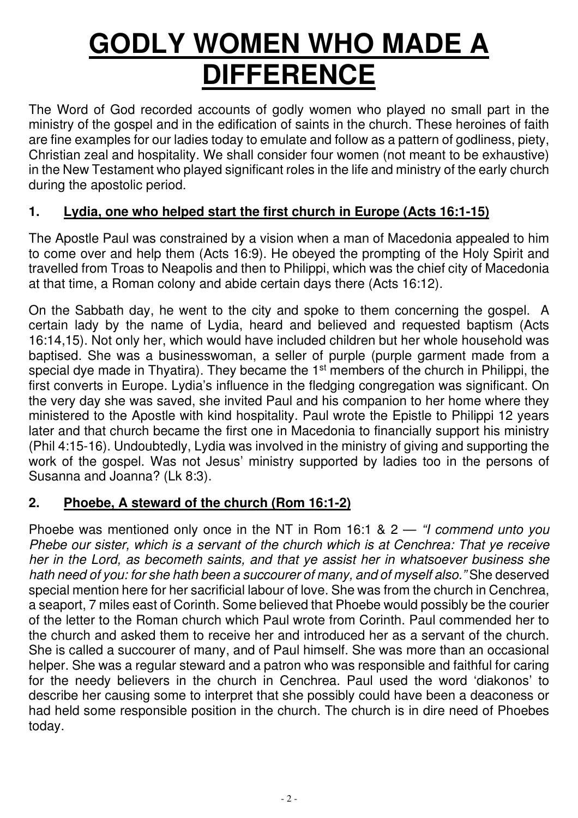# **GODLY WOMEN WHO MADE A DIFFERENCE**

The Word of God recorded accounts of godly women who played no small part in the ministry of the gospel and in the edification of saints in the church. These heroines of faith are fine examples for our ladies today to emulate and follow as a pattern of godliness, piety, Christian zeal and hospitality. We shall consider four women (not meant to be exhaustive) in the New Testament who played significant roles in the life and ministry of the early church during the apostolic period.

# **1. Lydia, one who helped start the first church in Europe (Acts 16:1-15)**

The Apostle Paul was constrained by a vision when a man of Macedonia appealed to him to come over and help them (Acts 16:9). He obeyed the prompting of the Holy Spirit and travelled from Troas to Neapolis and then to Philippi, which was the chief city of Macedonia at that time, a Roman colony and abide certain days there (Acts 16:12).

On the Sabbath day, he went to the city and spoke to them concerning the gospel. A certain lady by the name of Lydia, heard and believed and requested baptism (Acts 16:14,15). Not only her, which would have included children but her whole household was baptised. She was a businesswoman, a seller of purple (purple garment made from a special dye made in Thyatira). They became the 1<sup>st</sup> members of the church in Philippi, the first converts in Europe. Lydia's influence in the fledging congregation was significant. On the very day she was saved, she invited Paul and his companion to her home where they ministered to the Apostle with kind hospitality. Paul wrote the Epistle to Philippi 12 years later and that church became the first one in Macedonia to financially support his ministry (Phil 4:15-16). Undoubtedly, Lydia was involved in the ministry of giving and supporting the work of the gospel. Was not Jesus' ministry supported by ladies too in the persons of Susanna and Joanna? (Lk 8:3).

#### **2. Phoebe, A steward of the church (Rom 16:1-2)**

Phoebe was mentioned only once in the NT in Rom 16:1 & 2 — *"I commend unto you Phebe our sister, which is a servant of the church which is at Cenchrea: That ye receive her in the Lord, as becometh saints, and that ye assist her in whatsoever business she hath need of you: for she hath been a succourer of many, and of myself also."* She deserved special mention here for her sacrificial labour of love. She was from the church in Cenchrea, a seaport, 7 miles east of Corinth. Some believed that Phoebe would possibly be the courier of the letter to the Roman church which Paul wrote from Corinth. Paul commended her to the church and asked them to receive her and introduced her as a servant of the church. She is called a succourer of many, and of Paul himself. She was more than an occasional helper. She was a regular steward and a patron who was responsible and faithful for caring for the needy believers in the church in Cenchrea. Paul used the word 'diakonos' to describe her causing some to interpret that she possibly could have been a deaconess or had held some responsible position in the church. The church is in dire need of Phoebes today.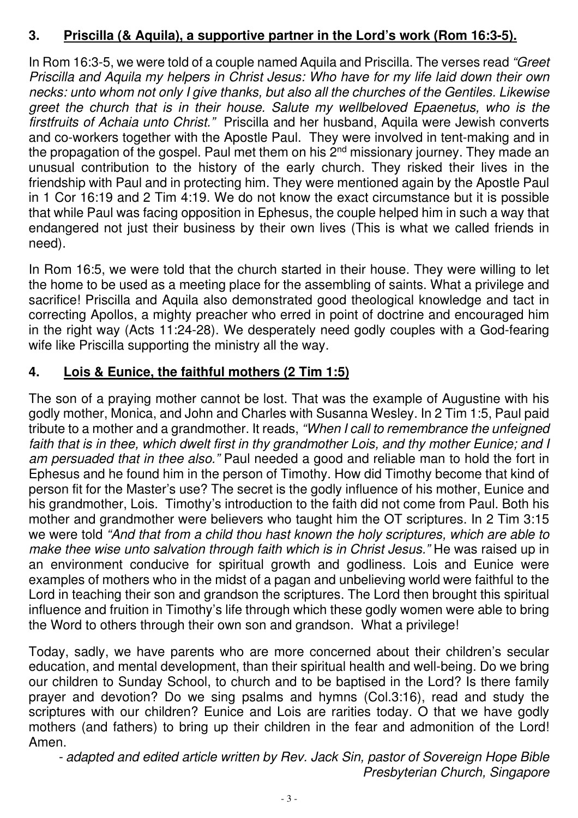### **3. Priscilla (& Aquila), a supportive partner in the Lord's work (Rom 16:3-5).**

In Rom 16:3-5, we were told of a couple named Aquila and Priscilla. The verses read *"Greet Priscilla and Aquila my helpers in Christ Jesus: Who have for my life laid down their own necks: unto whom not only I give thanks, but also all the churches of the Gentiles. Likewise greet the church that is in their house. Salute my wellbeloved Epaenetus, who is the firstfruits of Achaia unto Christ."* Priscilla and her husband, Aquila were Jewish converts and co-workers together with the Apostle Paul. They were involved in tent-making and in the propagation of the gospel. Paul met them on his  $2<sup>nd</sup>$  missionary journey. They made an unusual contribution to the history of the early church. They risked their lives in the friendship with Paul and in protecting him. They were mentioned again by the Apostle Paul in 1 Cor 16:19 and 2 Tim 4:19. We do not know the exact circumstance but it is possible that while Paul was facing opposition in Ephesus, the couple helped him in such a way that endangered not just their business by their own lives (This is what we called friends in need).

In Rom 16:5, we were told that the church started in their house. They were willing to let the home to be used as a meeting place for the assembling of saints. What a privilege and sacrifice! Priscilla and Aquila also demonstrated good theological knowledge and tact in correcting Apollos, a mighty preacher who erred in point of doctrine and encouraged him in the right way (Acts 11:24-28). We desperately need godly couples with a God-fearing wife like Priscilla supporting the ministry all the way.

# **4. Lois & Eunice, the faithful mothers (2 Tim 1:5)**

The son of a praying mother cannot be lost. That was the example of Augustine with his godly mother, Monica, and John and Charles with Susanna Wesley. In 2 Tim 1:5, Paul paid tribute to a mother and a grandmother. It reads, *"When I call to remembrance the unfeigned*  faith that is in thee, which dwelt first in thy grandmother Lois, and thy mother Eunice; and I *am persuaded that in thee also."* Paul needed a good and reliable man to hold the fort in Ephesus and he found him in the person of Timothy. How did Timothy become that kind of person fit for the Master's use? The secret is the godly influence of his mother, Eunice and his grandmother, Lois. Timothy's introduction to the faith did not come from Paul. Both his mother and grandmother were believers who taught him the OT scriptures. In 2 Tim 3:15 we were told *"And that from a child thou hast known the holy scriptures, which are able to make thee wise unto salvation through faith which is in Christ Jesus."* He was raised up in an environment conducive for spiritual growth and godliness. Lois and Eunice were examples of mothers who in the midst of a pagan and unbelieving world were faithful to the Lord in teaching their son and grandson the scriptures. The Lord then brought this spiritual influence and fruition in Timothy's life through which these godly women were able to bring the Word to others through their own son and grandson. What a privilege!

Today, sadly, we have parents who are more concerned about their children's secular education, and mental development, than their spiritual health and well-being. Do we bring our children to Sunday School, to church and to be baptised in the Lord? Is there family prayer and devotion? Do we sing psalms and hymns (Col.3:16), read and study the scriptures with our children? Eunice and Lois are rarities today. O that we have godly mothers (and fathers) to bring up their children in the fear and admonition of the Lord! Amen.

*- adapted and edited article written by Rev. Jack Sin, pastor of Sovereign Hope Bible Presbyterian Church, Singapore*